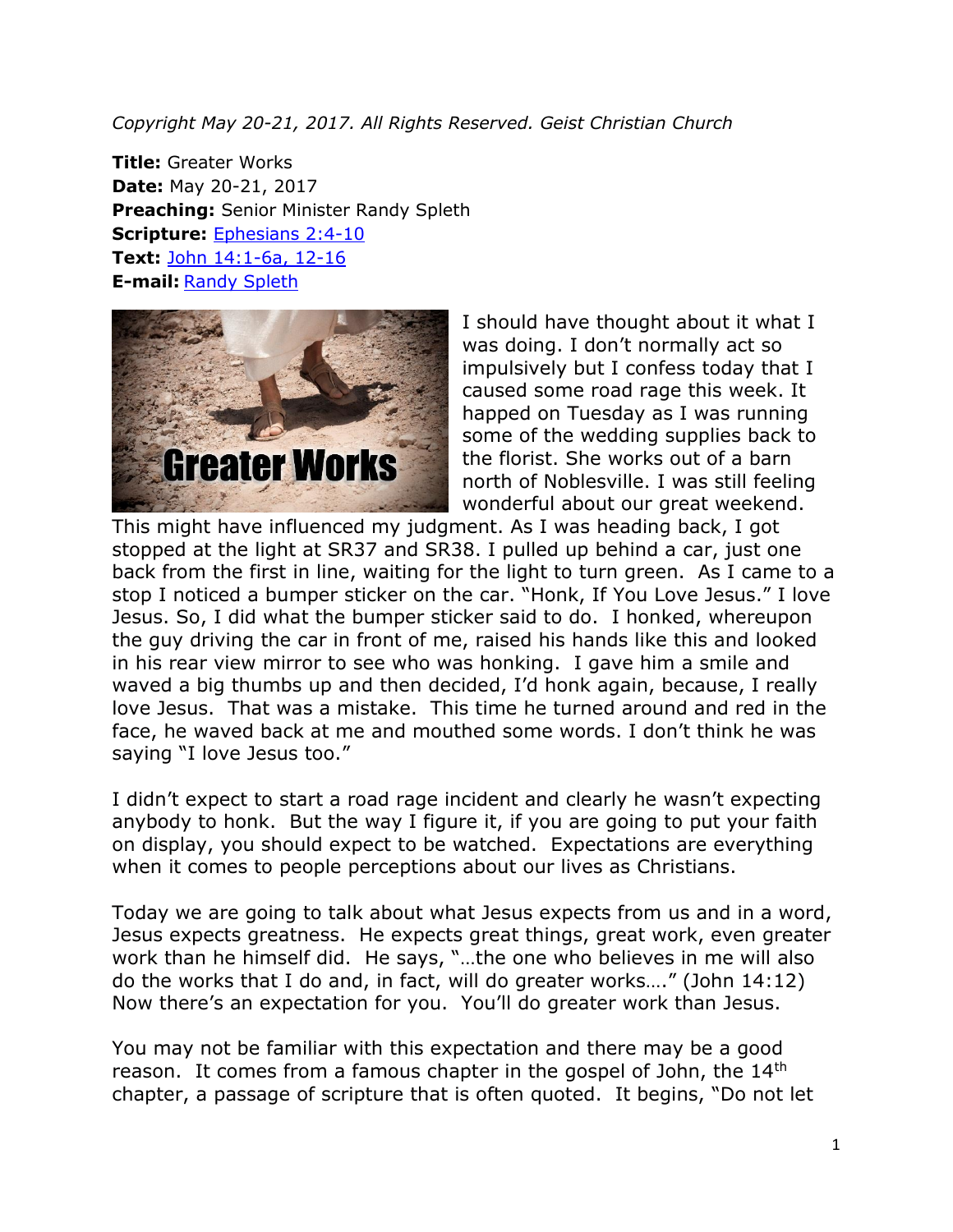*Copyright May 20-21, 2017. All Rights Reserved. Geist Christian Church*

**Title:** Greater Works **Date:** May 20-21, 2017 **Preaching:** Senior Minister Randy Spleth **Scripture:** [Ephesians 2:4-10](https://www.biblegateway.com/passage/?search=Ephesians+2%3A4-10&version=NRSV) **Text:** John [14:1-6a, 12-16](https://www.biblegateway.com/passage/?search=John+14%3A1-6a%2C+12-16&version=NRSV) **E-mail:** [Randy Spleth](mailto:randy.spleth@geistchristian.org)



I should have thought about it what I was doing. I don't normally act so impulsively but I confess today that I caused some road rage this week. It happed on Tuesday as I was running some of the wedding supplies back to the florist. She works out of a barn north of Noblesville. I was still feeling wonderful about our great weekend.

This might have influenced my judgment. As I was heading back, I got stopped at the light at SR37 and SR38. I pulled up behind a car, just one back from the first in line, waiting for the light to turn green. As I came to a stop I noticed a bumper sticker on the car. "Honk, If You Love Jesus." I love Jesus. So, I did what the bumper sticker said to do. I honked, whereupon the guy driving the car in front of me, raised his hands like this and looked in his rear view mirror to see who was honking. I gave him a smile and waved a big thumbs up and then decided, I'd honk again, because, I really love Jesus. That was a mistake. This time he turned around and red in the face, he waved back at me and mouthed some words. I don't think he was saying "I love Jesus too."

I didn't expect to start a road rage incident and clearly he wasn't expecting anybody to honk. But the way I figure it, if you are going to put your faith on display, you should expect to be watched. Expectations are everything when it comes to people perceptions about our lives as Christians.

Today we are going to talk about what Jesus expects from us and in a word, Jesus expects greatness. He expects great things, great work, even greater work than he himself did. He says, "…the one who believes in me will also do the works that I do and, in fact, will do greater works…." (John 14:12) Now there's an expectation for you. You'll do greater work than Jesus.

You may not be familiar with this expectation and there may be a good reason. It comes from a famous chapter in the gospel of John, the 14<sup>th</sup> chapter, a passage of scripture that is often quoted. It begins, "Do not let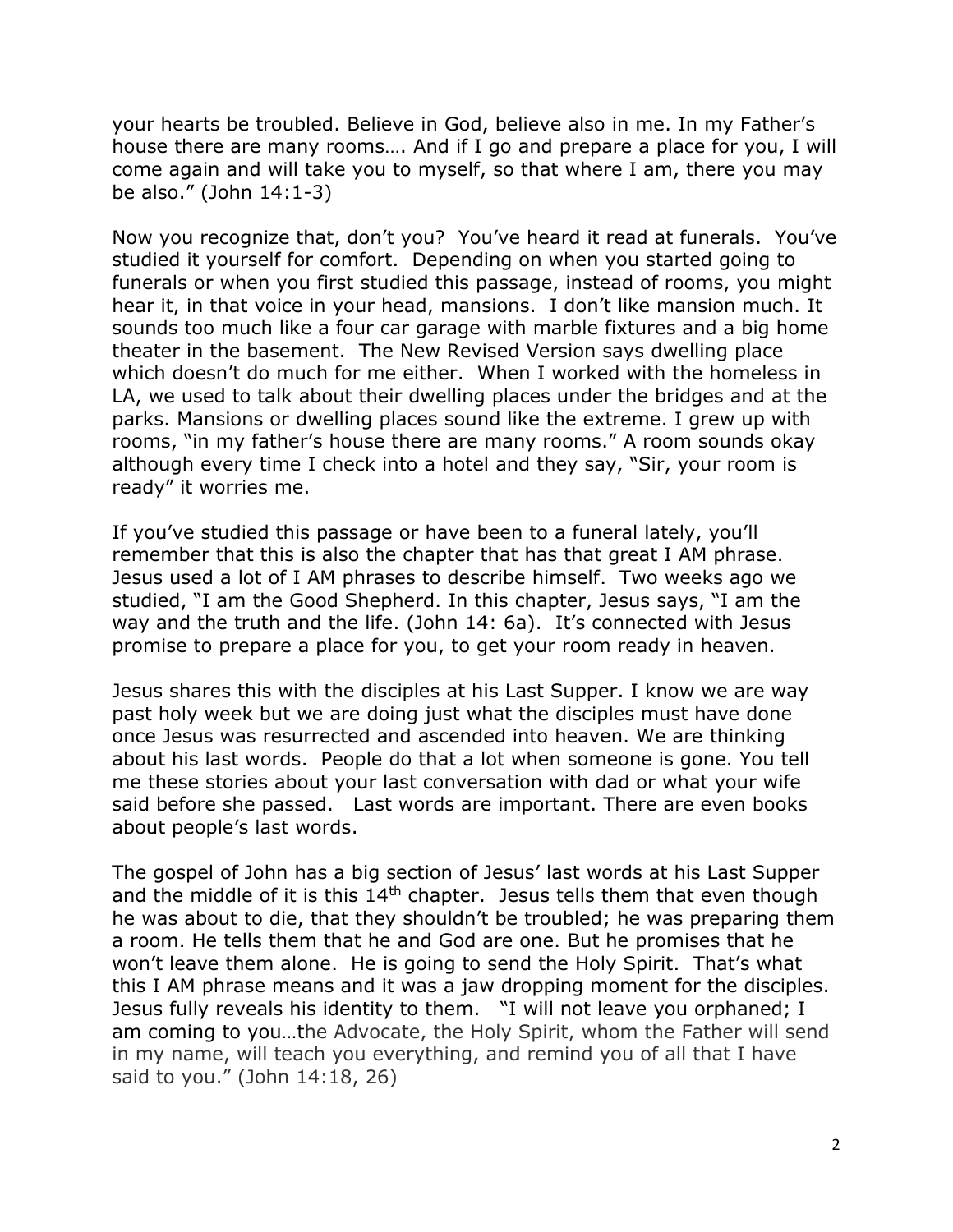your hearts be troubled. Believe in God, believe also in me. In my Father's house there are many rooms…. And if I go and prepare a place for you, I will come again and will take you to myself, so that where I am, there you may be also." (John 14:1-3)

Now you recognize that, don't you? You've heard it read at funerals. You've studied it yourself for comfort. Depending on when you started going to funerals or when you first studied this passage, instead of rooms, you might hear it, in that voice in your head, mansions. I don't like mansion much. It sounds too much like a four car garage with marble fixtures and a big home theater in the basement. The New Revised Version says dwelling place which doesn't do much for me either. When I worked with the homeless in LA, we used to talk about their dwelling places under the bridges and at the parks. Mansions or dwelling places sound like the extreme. I grew up with rooms, "in my father's house there are many rooms." A room sounds okay although every time I check into a hotel and they say, "Sir, your room is ready" it worries me.

If you've studied this passage or have been to a funeral lately, you'll remember that this is also the chapter that has that great I AM phrase. Jesus used a lot of I AM phrases to describe himself. Two weeks ago we studied, "I am the Good Shepherd. In this chapter, Jesus says, "I am the way and the truth and the life. (John 14: 6a). It's connected with Jesus promise to prepare a place for you, to get your room ready in heaven.

Jesus shares this with the disciples at his Last Supper. I know we are way past holy week but we are doing just what the disciples must have done once Jesus was resurrected and ascended into heaven. We are thinking about his last words. People do that a lot when someone is gone. You tell me these stories about your last conversation with dad or what your wife said before she passed. Last words are important. There are even books about people's last words.

The gospel of John has a big section of Jesus' last words at his Last Supper and the middle of it is this  $14<sup>th</sup>$  chapter. Jesus tells them that even though he was about to die, that they shouldn't be troubled; he was preparing them a room. He tells them that he and God are one. But he promises that he won't leave them alone. He is going to send the Holy Spirit. That's what this I AM phrase means and it was a jaw dropping moment for the disciples. Jesus fully reveals his identity to them. "I will not leave you orphaned; I am coming to you…the Advocate, the Holy Spirit, whom the Father will send in my name, will teach you everything, and remind you of all that I have said to you." (John 14:18, 26)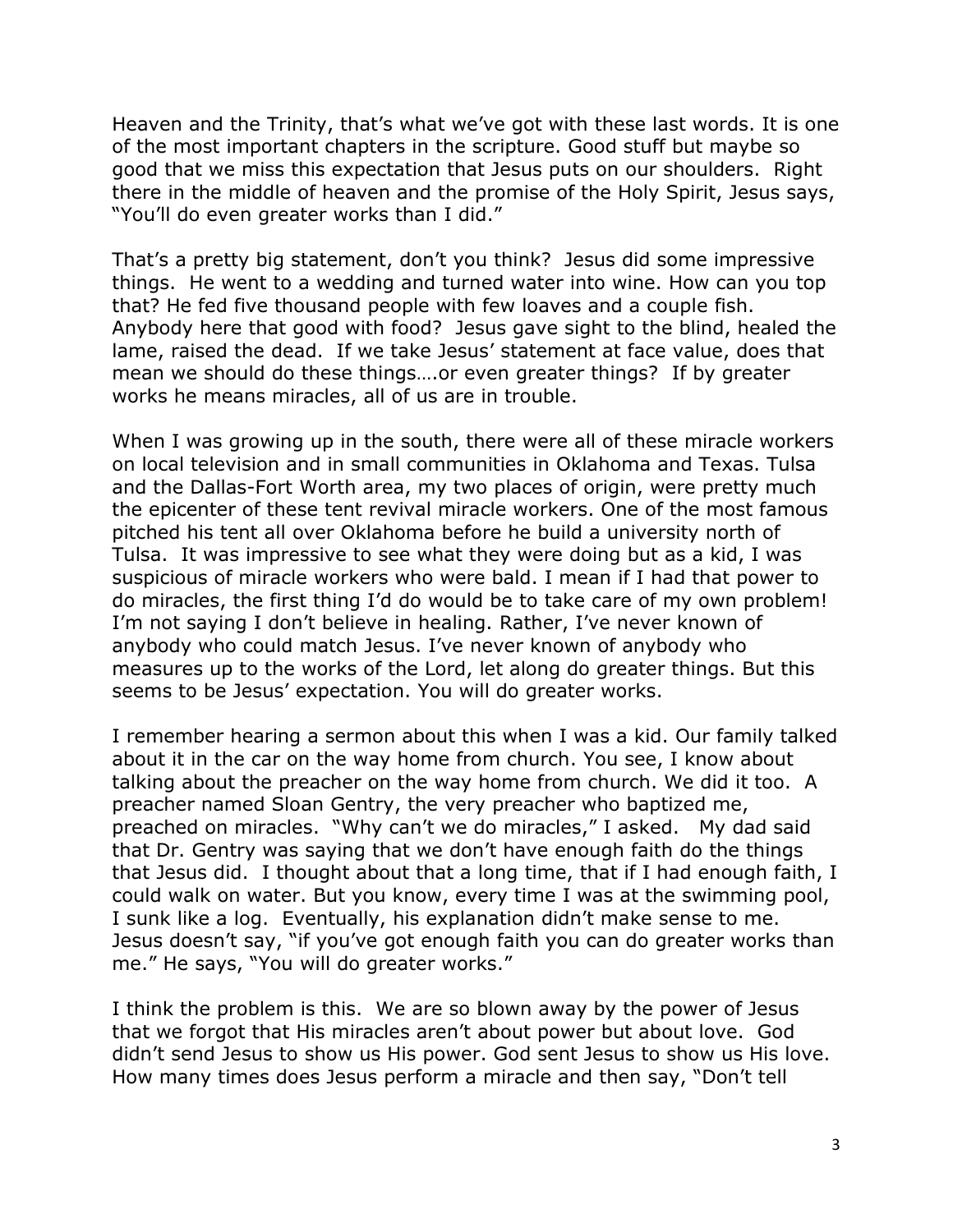Heaven and the Trinity, that's what we've got with these last words. It is one of the most important chapters in the scripture. Good stuff but maybe so good that we miss this expectation that Jesus puts on our shoulders. Right there in the middle of heaven and the promise of the Holy Spirit, Jesus says, "You'll do even greater works than I did."

That's a pretty big statement, don't you think? Jesus did some impressive things. He went to a wedding and turned water into wine. How can you top that? He fed five thousand people with few loaves and a couple fish. Anybody here that good with food? Jesus gave sight to the blind, healed the lame, raised the dead. If we take Jesus' statement at face value, does that mean we should do these things….or even greater things? If by greater works he means miracles, all of us are in trouble.

When I was growing up in the south, there were all of these miracle workers on local television and in small communities in Oklahoma and Texas. Tulsa and the Dallas-Fort Worth area, my two places of origin, were pretty much the epicenter of these tent revival miracle workers. One of the most famous pitched his tent all over Oklahoma before he build a university north of Tulsa. It was impressive to see what they were doing but as a kid, I was suspicious of miracle workers who were bald. I mean if I had that power to do miracles, the first thing I'd do would be to take care of my own problem! I'm not saying I don't believe in healing. Rather, I've never known of anybody who could match Jesus. I've never known of anybody who measures up to the works of the Lord, let along do greater things. But this seems to be Jesus' expectation. You will do greater works.

I remember hearing a sermon about this when I was a kid. Our family talked about it in the car on the way home from church. You see, I know about talking about the preacher on the way home from church. We did it too. A preacher named Sloan Gentry, the very preacher who baptized me, preached on miracles. "Why can't we do miracles," I asked. My dad said that Dr. Gentry was saying that we don't have enough faith do the things that Jesus did. I thought about that a long time, that if I had enough faith, I could walk on water. But you know, every time I was at the swimming pool, I sunk like a log. Eventually, his explanation didn't make sense to me. Jesus doesn't say, "if you've got enough faith you can do greater works than me." He says, "You will do greater works."

I think the problem is this. We are so blown away by the power of Jesus that we forgot that His miracles aren't about power but about love. God didn't send Jesus to show us His power. God sent Jesus to show us His love. How many times does Jesus perform a miracle and then say, "Don't tell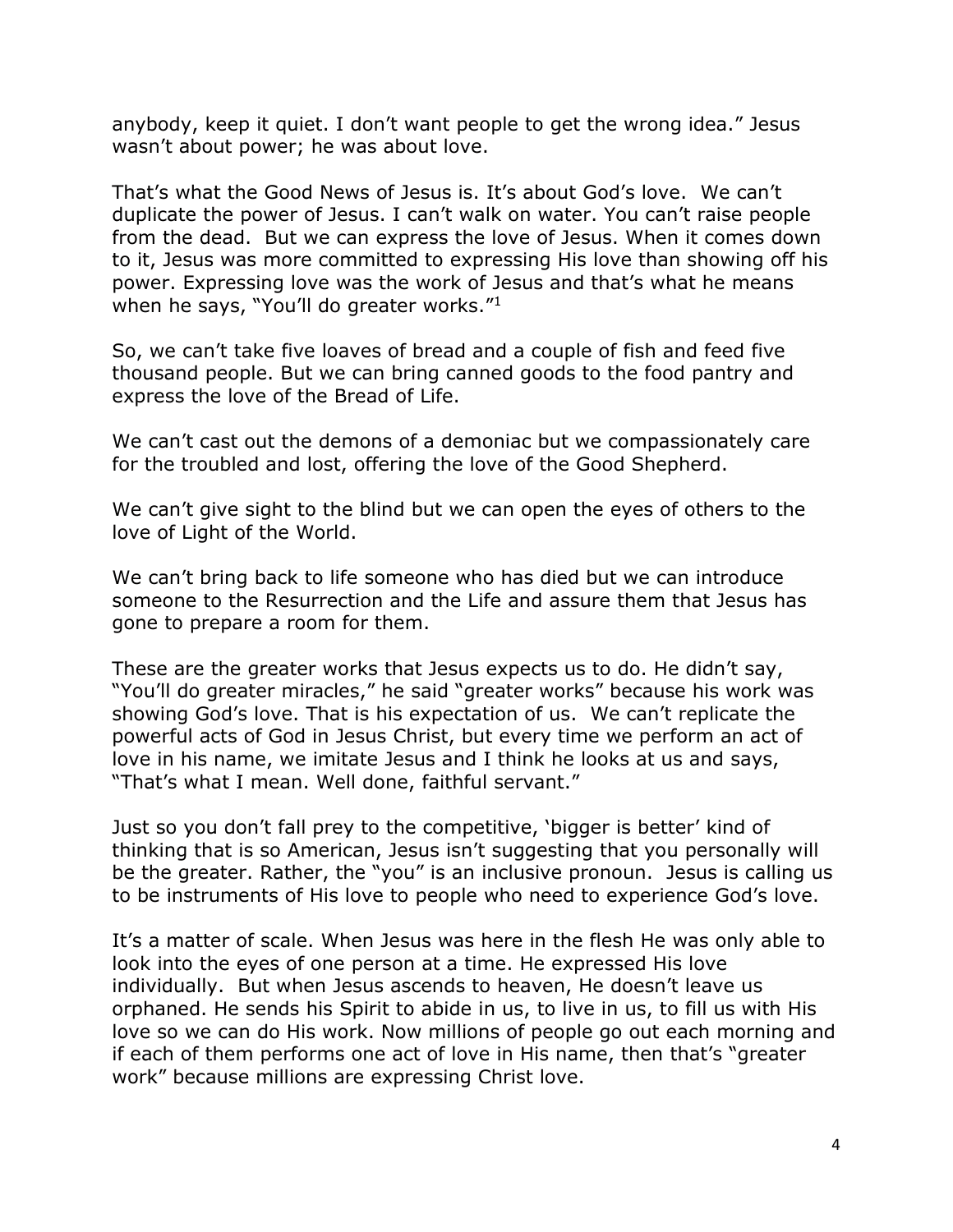anybody, keep it quiet. I don't want people to get the wrong idea." Jesus wasn't about power; he was about love.

That's what the Good News of Jesus is. It's about God's love. We can't duplicate the power of Jesus. I can't walk on water. You can't raise people from the dead. But we can express the love of Jesus. When it comes down to it, Jesus was more committed to expressing His love than showing off his power. Expressing love was the work of Jesus and that's what he means when he says, "You'll do greater works."<sup>1</sup>

So, we can't take five loaves of bread and a couple of fish and feed five thousand people. But we can bring canned goods to the food pantry and express the love of the Bread of Life.

We can't cast out the demons of a demoniac but we compassionately care for the troubled and lost, offering the love of the Good Shepherd.

We can't give sight to the blind but we can open the eyes of others to the love of Light of the World.

We can't bring back to life someone who has died but we can introduce someone to the Resurrection and the Life and assure them that Jesus has gone to prepare a room for them.

These are the greater works that Jesus expects us to do. He didn't say, "You'll do greater miracles," he said "greater works" because his work was showing God's love. That is his expectation of us. We can't replicate the powerful acts of God in Jesus Christ, but every time we perform an act of love in his name, we imitate Jesus and I think he looks at us and says, "That's what I mean. Well done, faithful servant."

Just so you don't fall prey to the competitive, 'bigger is better' kind of thinking that is so American, Jesus isn't suggesting that you personally will be the greater. Rather, the "you" is an inclusive pronoun. Jesus is calling us to be instruments of His love to people who need to experience God's love.

It's a matter of scale. When Jesus was here in the flesh He was only able to look into the eyes of one person at a time. He expressed His love individually. But when Jesus ascends to heaven, He doesn't leave us orphaned. He sends his Spirit to abide in us, to live in us, to fill us with His love so we can do His work. Now millions of people go out each morning and if each of them performs one act of love in His name, then that's "greater work" because millions are expressing Christ love.